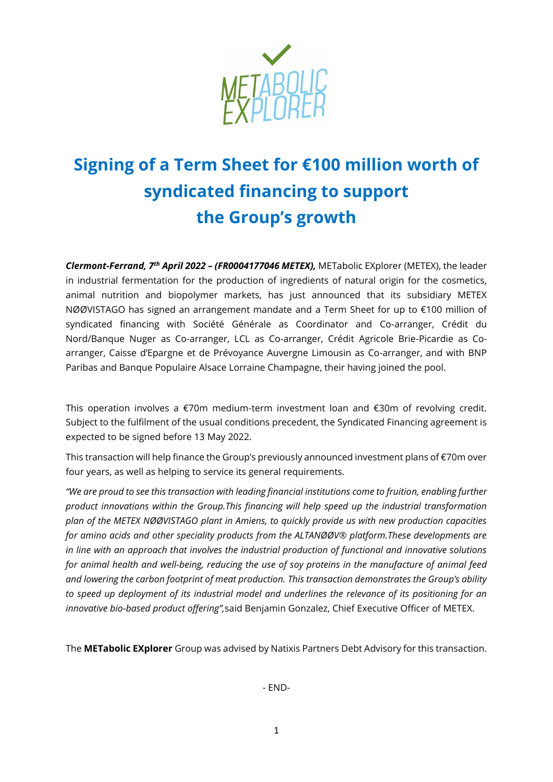

# **Signing of a Term Sheet for €100 million worth of syndicated financing to support the Group's growth**

*Clermont-Ferrand, 7th April 2022 – (FR0004177046 METEX),* METabolic EXplorer (METEX), the leader in industrial fermentation for the production of ingredients of natural origin for the cosmetics, animal nutrition and biopolymer markets, has just announced that its subsidiary METEX NØØVISTAGO has signed an arrangement mandate and a Term Sheet for up to €100 million of syndicated financing with Société Générale as Coordinator and Co-arranger, Crédit du Nord/Banque Nuger as Co-arranger, LCL as Co-arranger, Crédit Agricole Brie-Picardie as Coarranger, Caisse d'Epargne et de Prévoyance Auvergne Limousin as Co-arranger, and with BNP Paribas and Banque Populaire Alsace Lorraine Champagne, their having joined the pool.

This operation involves a €70m medium-term investment loan and €30m of revolving credit. Subject to the fulfilment of the usual conditions precedent, the Syndicated Financing agreement is expected to be signed before 13 May 2022.

This transaction will help finance the Group's previously announced investment plans of €70m over four years, as well as helping to service its general requirements.

*"We are proud to see this transaction with leading financial institutions come to fruition, enabling further product innovations within the Group.This financing will help speed up the industrial transformation plan of the METEX NØØVISTAGO plant in Amiens, to quickly provide us with new production capacities for amino acids and other speciality products from the ALTANØØV® platform.These developments are in line with an approach that involves the industrial production of functional and innovative solutions for animal health and well-being, reducing the use of soy proteins in the manufacture of animal feed and lowering the carbon footprint of meat production. This transaction demonstrates the Group's ability to speed up deployment of its industrial model and underlines the relevance of its positioning for an innovative bio-based product offering",*said Benjamin Gonzalez, Chief Executive Officer of METEX.

The **METabolic EXplorer** Group was advised by Natixis Partners Debt Advisory for this transaction.

- END-